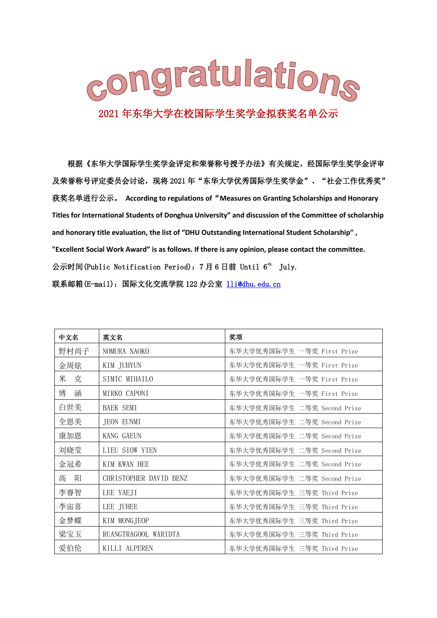

根据《东华大学国际学生奖学金评定和荣誉称号授予办法》有关规定,经国际学生奖学金评审 及荣誉称号评定委员会讨论,现将 2021 年"东华大学优秀国际学生奖学金"、"社会工作优秀奖" 获奖名单进行公示。 **According to regulations of**"**Measures on Granting Scholarships and Honorary Titles for International Students of Donghua University" and discussion of the Committee of scholarship and honorary title evaluation, the list of "DHU Outstanding International Student Scholarship" , "Excellent Social Work Award" is as follows. If there is any opinion, please contact the committee.** 公示时间(Public Notification Period): 7月6日前 Until 6<sup>th</sup> July. 联系邮箱(E-mail):国际文化交流学院 122 办公室 [lli@dhu.edu.cn](mailto:lli@dhu.edu.cn)

| 中文名    | 英文名                    | 奖项                          |
|--------|------------------------|-----------------------------|
| 野村尚子   | NOMURA NAOKO           | 东华大学优秀国际学生 一等奖 First Prize  |
| 金周炫    | KIM JUHYUN             | 东华大学优秀国际学生 一等奖 First Prize  |
| 米 克    | SIMIC MIHAILO          | 东华大学优秀国际学生 一等奖 First Prize  |
| 博<br>涵 | MIRKO CAPONI           | 东华大学优秀国际学生 一等奖 First Prize  |
| 白世美    | <b>BAEK SEMI</b>       | 东华大学优秀国际学生 二等奖 Second Prize |
| 全恩美    | JEON EUNMI             | 东华大学优秀国际学生 二等奖 Second Prize |
| 康加恩    | KANG GAEUN             | 东华大学优秀国际学生 二等奖 Second Prize |
| 刘晓莹    | LIEU SIOW YIEN         | 东华大学优秀国际学生 二等奖 Second Prize |
| 金冠希    | KIM KWAN HEE           | 东华大学优秀国际学生 二等奖 Second Prize |
| 高<br>阳 | CHRISTOPHER DAVID BENZ | 东华大学优秀国际学生 二等奖 Second Prize |
| 李睿智    | LEE YAEJI              | 东华大学优秀国际学生 三等奖 Third Prize  |
| 李宙喜    | LEE JUHEE              | 东华大学优秀国际学生 三等奖 Third Prize  |
| 金梦蝶    | KIM MONGJEOP           | 东华大学优秀国际学生 三等奖 Third Prize  |
| 梁宝玉    | RUANGTRAGOOL WARIDTA   | 东华大学优秀国际学生 三等奖 Third Prize  |
| 爱伯伦    | KILLI ALPEREN          | 东华大学优秀国际学生 三等奖 Third Prize  |